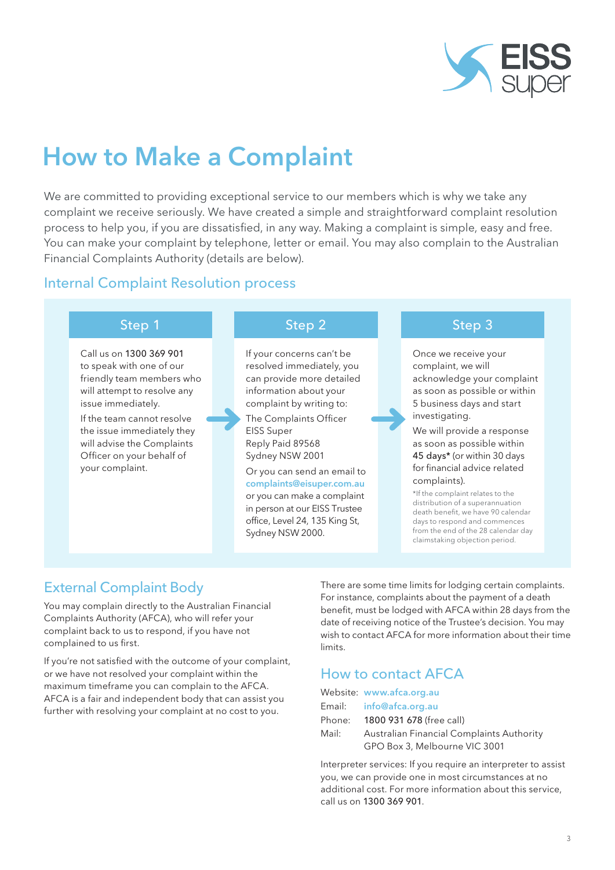

# How to Make a Complaint

We are committed to providing exceptional service to our members which is why we take any complaint we receive seriously. We have created a simple and straightforward complaint resolution process to help you, if you are dissatisfied, in any way. Making a complaint is simple, easy and free. You can make your complaint by telephone, letter or email. You may also complain to the Australian Financial Complaints Authority (details are below).

### Internal Complaint Resolution process

Call us on 1300 369 901 to speak with one of our friendly team members who will attempt to resolve any issue immediately.

If the team cannot resolve the issue immediately they will advise the Complaints Officer on your behalf of your complaint.

If your concerns can't be resolved immediately, you can provide more detailed information about your complaint by writing to:

The Complaints Officer EISS Super Reply Paid 89568 Sydney NSW 2001

Or you can send an email to complaints@eisuper.com.au or you can make a complaint in person at our EISS Trustee office, Level 24, 135 King St, Sydney NSW 2000.

#### Step 1 Step 2 Step 3 Step 3

Once we receive your complaint, we will acknowledge your complaint as soon as possible or within 5 business days and start investigating.

We will provide a response as soon as possible within 45 days\* (or within 30 days for financial advice related complaints).

\*If the complaint relates to the distribution of a superannuation death benefit, we have 90 calendar days to respond and commences from the end of the 28 calendar day claimstaking objection period.

## External Complaint Body

You may complain directly to the Australian Financial Complaints Authority (AFCA), who will refer your complaint back to us to respond, if you have not complained to us first.

If you're not satisfied with the outcome of your complaint, or we have not resolved your complaint within the maximum timeframe you can complain to the AFCA. AFCA is a fair and independent body that can assist you further with resolving your complaint at no cost to you.

There are some time limits for lodging certain complaints. For instance, complaints about the payment of a death benefit, must be lodged with AFCA within 28 days from the date of receiving notice of the Trustee's decision. You may wish to contact AFCA for more information about their time limits.

# How to contact AFCA

|       | Website: www.afca.org.au                  |
|-------|-------------------------------------------|
|       | Email: info@afca.org.au                   |
|       | Phone: 1800 931 678 (free call)           |
| Mail: | Australian Financial Complaints Authority |
|       | GPO Box 3, Melbourne VIC 3001             |

Interpreter services: If you require an interpreter to assist you, we can provide one in most circumstances at no additional cost. For more information about this service, call us on 1300 369 901.